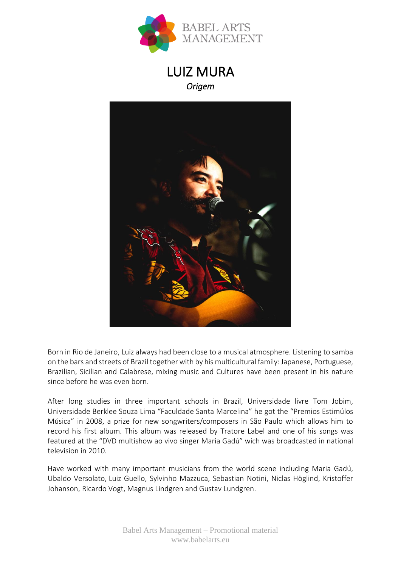

# LUIZ MURA *Origem*



Born in Rio de Janeiro, Luiz always had been close to a musical atmosphere. Listening to samba on the bars and streets of Brazil together with by his multicultural family: Japanese, Portuguese, Brazilian, Sicilian and Calabrese, mixing music and Cultures have been present in his nature since before he was even born.

After long studies in three important schools in Brazil, Universidade livre Tom Jobim, Universidade Berklee Souza Lima "Faculdade Santa Marcelina" he got the "Premios Estimúlos Música" in 2008, a prize for new songwriters/composers in São Paulo which allows him to record his first album. This album was released by Tratore Label and one of his songs was featured at the "DVD multishow ao vivo singer Maria Gadú" wich was broadcasted in national television in 2010.

Have worked with many important musicians from the world scene including Maria Gadú, Ubaldo Versolato, Luiz Guello, Sylvinho Mazzuca, Sebastian Notini, Niclas Höglind, Kristoffer Johanson, Ricardo Vogt, Magnus Lindgren and Gustav Lundgren.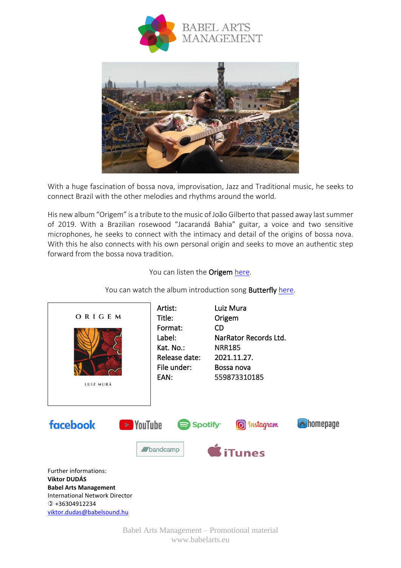



With a huge fascination of bossa nova, improvisation, Jazz and Traditional music, he seeks to connect Brazil with the other melodies and rhythms around the world.

His new album "Origem" is a tribute to the music of João Gilberto that passed away last summer of 2019. With a Brazilian rosewood "Jacarandá Bahia" guitar, a voice and two sensitive microphones, he seeks to connect with the intimacy and detail of the origins of bossa nova. With this he also connects with his own personal origin and seeks to move an authentic step forward from the bossa nova tradition.

You can listen the Origem [here.](https://hearthis.at/narrator/set/luiz-mura-origem/XSRtk/?fbclid=IwAR2wGaNAhPtZQ4hYg__Zaab54VCr45-0oTUjjWYWLcF6SwrnGWYrPLFfbIg)



You can watch the album introduction song Butterfly [here.](https://youtu.be/cBEmNGACfgg)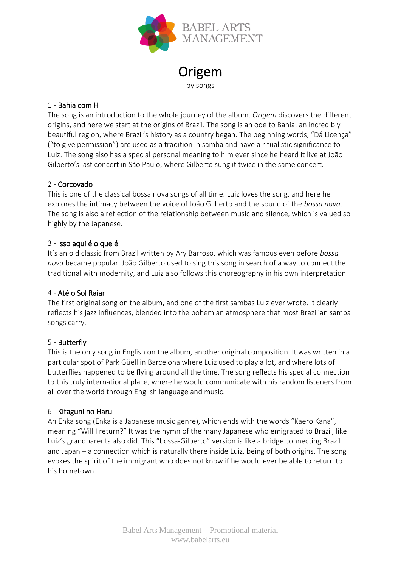

**Origem** 

by songs

# 1 - Bahia com H

The song is an introduction to the whole journey of the album. *Origem* discovers the different origins, and here we start at the origins of Brazil. The song is an ode to Bahia, an incredibly beautiful region, where Brazil's history as a country began. The beginning words, "Dá Licença" ("to give permission") are used as a tradition in samba and have a ritualistic significance to Luiz. The song also has a special personal meaning to him ever since he heard it live at João Gilberto's last concert in São Paulo, where Gilberto sung it twice in the same concert.

# 2 - Corcovado

This is one of the classical bossa nova songs of all time. Luiz loves the song, and here he explores the intimacy between the voice of João Gilberto and the sound of the *bossa nova*. The song is also a reflection of the relationship between music and silence, which is valued so highly by the Japanese.

# 3 - Isso aqui é o que é

It's an old classic from Brazil written by Ary Barroso, which was famous even before *bossa nova* became popular. João Gilberto used to sing this song in search of a way to connect the traditional with modernity, and Luiz also follows this choreography in his own interpretation.

# 4 - Até o Sol Raiar

The first original song on the album, and one of the first sambas Luiz ever wrote. It clearly reflects his jazz influences, blended into the bohemian atmosphere that most Brazilian samba songs carry.

# 5 - Butterfly

This is the only song in English on the album, another original composition. It was written in a particular spot of Park Güell in Barcelona where Luiz used to play a lot, and where lots of butterflies happened to be flying around all the time. The song reflects his special connection to this truly international place, where he would communicate with his random listeners from all over the world through English language and music.

# 6 - Kitaguni no Haru

An Enka song (Enka is a Japanese music genre), which ends with the words "Kaero Kana", meaning "Will I return?" It was the hymn of the many Japanese who emigrated to Brazil, like Luiz's grandparents also did. This "bossa-Gilberto" version is like a bridge connecting Brazil and Japan – a connection which is naturally there inside Luiz, being of both origins. The song evokes the spirit of the immigrant who does not know if he would ever be able to return to his hometown.